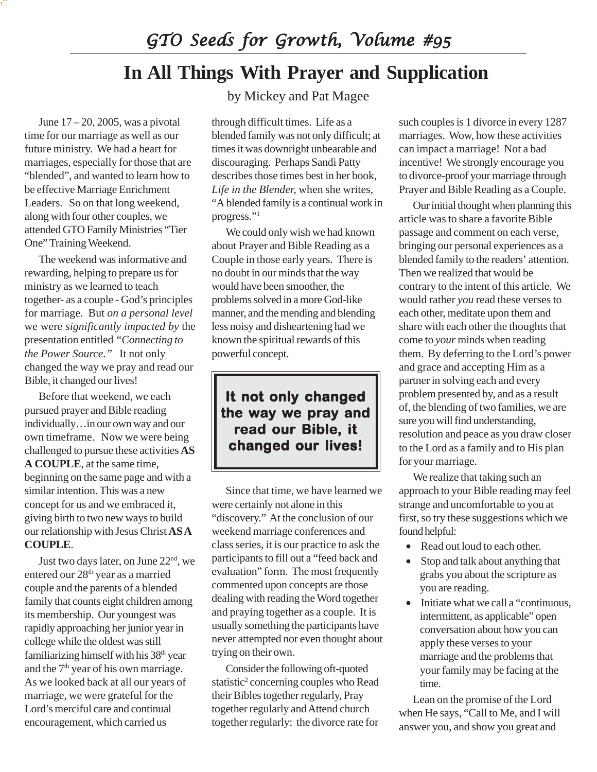*GTO Seeds for Growth, Volume #95*

## **In All Things With Prayer and Supplication**

June  $17 - 20$ , 2005, was a pivotal time for our marriage as well as our future ministry. We had a heart for marriages, especially for those that are "blended", and wanted to learn how to be effective Marriage Enrichment Leaders. So on that long weekend, along with four other couples, we attended GTO Family Ministries "Tier One" Training Weekend.

The weekend was informative and rewarding, helping to prepare us for ministry as we learned to teach together- as a couple - God's principles for marriage. But *on a personal level* we were *significantly impacted by* the presentation entitled *"Connecting to the Power Source."* It not only changed the way we pray and read our Bible, it changed our lives!

Before that weekend, we each pursued prayer and Bible reading individually…in our own way and our own timeframe. Now we were being challenged to pursue these activities **AS A COUPLE**, at the same time, beginning on the same page and with a similar intention. This was a new concept for us and we embraced it, giving birth to two new ways to build our relationship with Jesus Christ **AS A COUPLE**.

Just two days later, on June 22nd, we entered our  $28^{\rm th}$  year as a married couple and the parents of a blended family that counts eight children among its membership. Our youngest was rapidly approaching her junior year in college while the oldest was still familiarizing himself with his 38<sup>th</sup> year and the 7<sup>th</sup> year of his own marriage. As we looked back at all our years of marriage, we were grateful for the Lord's merciful care and continual encouragement, which carried us

by Mickey and Pat Magee

through difficult times. Life as a blended family was not only difficult; at times it was downright unbearable and discouraging. Perhaps Sandi Patty describes those times best in her book, *Life in the Blender,* when she writes, "A blended family is a continual work in progress."1

We could only wish we had known about Prayer and Bible Reading as a Couple in those early years. There is no doubt in our minds that the way would have been smoother, the problems solved in a more God-like manner, and the mending and blending less noisy and disheartening had we known the spiritual rewards of this powerful concept.

**It not only changed the way we pray and the we pray and read our Bible, it our Bible, changed our lives! changed our lives! changed our lives!**

Since that time, we have learned we were certainly not alone in this "discovery." At the conclusion of our weekend marriage conferences and class series, it is our practice to ask the participants to fill out a "feed back and evaluation" form. The most frequently commented upon concepts are those dealing with reading the Word together and praying together as a couple. It is usually something the participants have never attempted nor even thought about trying on their own.

Consider the following oft-quoted statistic<sup>2</sup> concerning couples who Read their Bibles together regularly, Pray together regularly and Attend church together regularly: the divorce rate for such couples is 1 divorce in every 1287 marriages. Wow, how these activities can impact a marriage! Not a bad incentive! We strongly encourage you to divorce-proof your marriage through Prayer and Bible Reading as a Couple.

Our initial thought when planning this article was to share a favorite Bible passage and comment on each verse, bringing our personal experiences as a blended family to the readers' attention. Then we realized that would be contrary to the intent of this article. We would rather *you* read these verses to each other, meditate upon them and share with each other the thoughts that come to *your* minds when reading them. By deferring to the Lord's power and grace and accepting Him as a partner in solving each and every problem presented by, and as a result of, the blending of two families, we are sure you will find understanding, resolution and peace as you draw closer to the Lord as a family and to His plan for your marriage.

We realize that taking such an approach to your Bible reading may feel strange and uncomfortable to you at first, so try these suggestions which we found helpful:

- Read out loud to each other.
- Stop and talk about anything that grabs you about the scripture as you are reading.
- Initiate what we call a "continuous, intermittent, as applicable" open conversation about how you can apply these verses to your marriage and the problems that your family may be facing at the time.

Lean on the promise of the Lord when He says, "Call to Me, and I will answer you, and show you great and